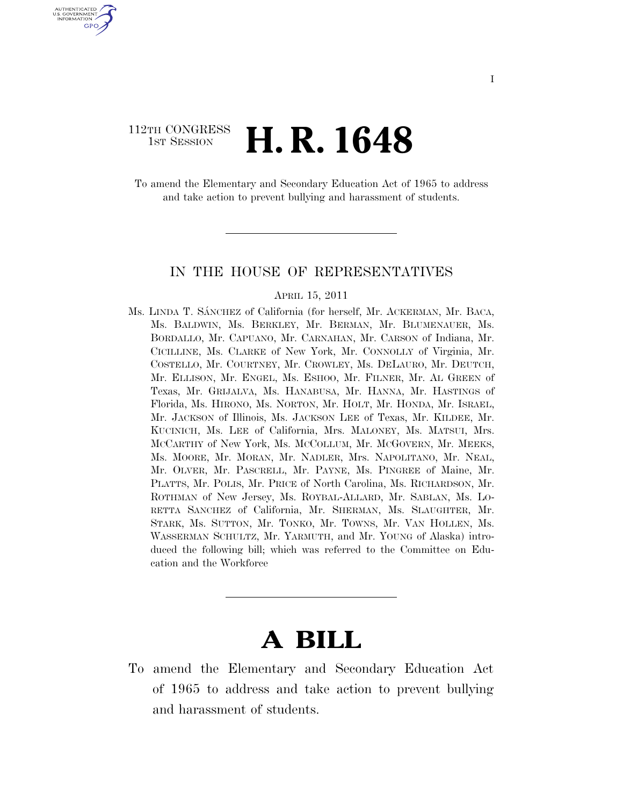## 112TH CONGRESS <sup>TH CONGRESS</sup> **H. R. 1648**

U.S. GOVERNMENT GPO

> To amend the Elementary and Secondary Education Act of 1965 to address and take action to prevent bullying and harassment of students.

#### IN THE HOUSE OF REPRESENTATIVES

#### APRIL 15, 2011

Ms. LINDA T. SÁNCHEZ of California (for herself, Mr. ACKERMAN, Mr. BACA, Ms. BALDWIN, Ms. BERKLEY, Mr. BERMAN, Mr. BLUMENAUER, Ms. BORDALLO, Mr. CAPUANO, Mr. CARNAHAN, Mr. CARSON of Indiana, Mr. CICILLINE, Ms. CLARKE of New York, Mr. CONNOLLY of Virginia, Mr. COSTELLO, Mr. COURTNEY, Mr. CROWLEY, Ms. DELAURO, Mr. DEUTCH, Mr. ELLISON, Mr. ENGEL, Ms. ESHOO, Mr. FILNER, Mr. AL GREEN of Texas, Mr. GRIJALVA, Ms. HANABUSA, Mr. HANNA, Mr. HASTINGS of Florida, Ms. HIRONO, Ms. NORTON, Mr. HOLT, Mr. HONDA, Mr. ISRAEL, Mr. JACKSON of Illinois, Ms. JACKSON LEE of Texas, Mr. KILDEE, Mr. KUCINICH, Ms. LEE of California, Mrs. MALONEY, Ms. MATSUI, Mrs. MCCARTHY of New York, Ms. MCCOLLUM, Mr. MCGOVERN, Mr. MEEKS, Ms. MOORE, Mr. MORAN, Mr. NADLER, Mrs. NAPOLITANO, Mr. NEAL, Mr. OLVER, Mr. PASCRELL, Mr. PAYNE, Ms. PINGREE of Maine, Mr. PLATTS, Mr. POLIS, Mr. PRICE of North Carolina, Ms. RICHARDSON, Mr. ROTHMAN of New Jersey, Ms. ROYBAL-ALLARD, Mr. SABLAN, Ms. LO-RETTA SANCHEZ of California, Mr. SHERMAN, Ms. SLAUGHTER, Mr. STARK, Ms. SUTTON, Mr. TONKO, Mr. TOWNS, Mr. VAN HOLLEN, Ms. WASSERMAN SCHULTZ, Mr. YARMUTH, and Mr. YOUNG of Alaska) introduced the following bill; which was referred to the Committee on Education and the Workforce

# **A BILL**

To amend the Elementary and Secondary Education Act of 1965 to address and take action to prevent bullying and harassment of students.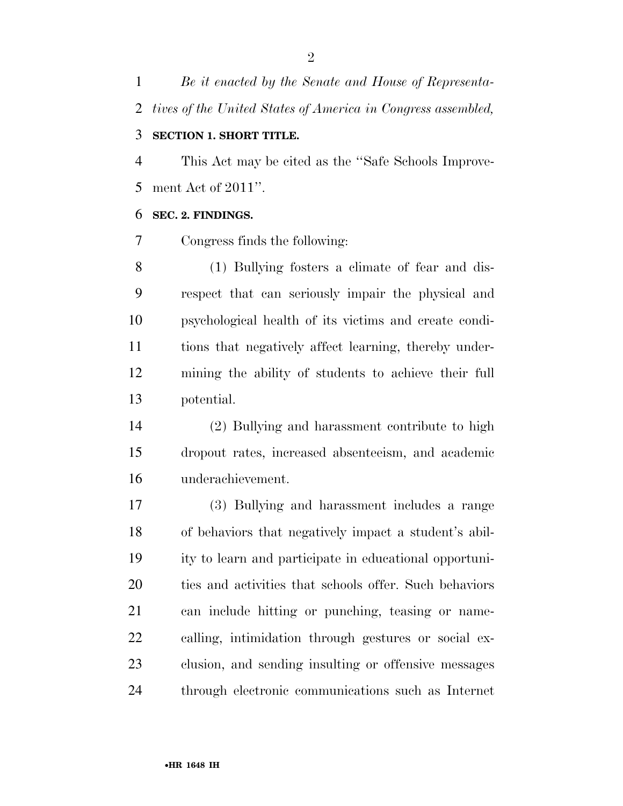*Be it enacted by the Senate and House of Representa-tives of the United States of America in Congress assembled,* 

### **SECTION 1. SHORT TITLE.**

 This Act may be cited as the ''Safe Schools Improve-ment Act of 2011''.

#### **SEC. 2. FINDINGS.**

Congress finds the following:

 (1) Bullying fosters a climate of fear and dis- respect that can seriously impair the physical and psychological health of its victims and create condi- tions that negatively affect learning, thereby under- mining the ability of students to achieve their full potential.

 (2) Bullying and harassment contribute to high dropout rates, increased absenteeism, and academic underachievement.

 (3) Bullying and harassment includes a range of behaviors that negatively impact a student's abil- ity to learn and participate in educational opportuni- ties and activities that schools offer. Such behaviors can include hitting or punching, teasing or name- calling, intimidation through gestures or social ex- clusion, and sending insulting or offensive messages through electronic communications such as Internet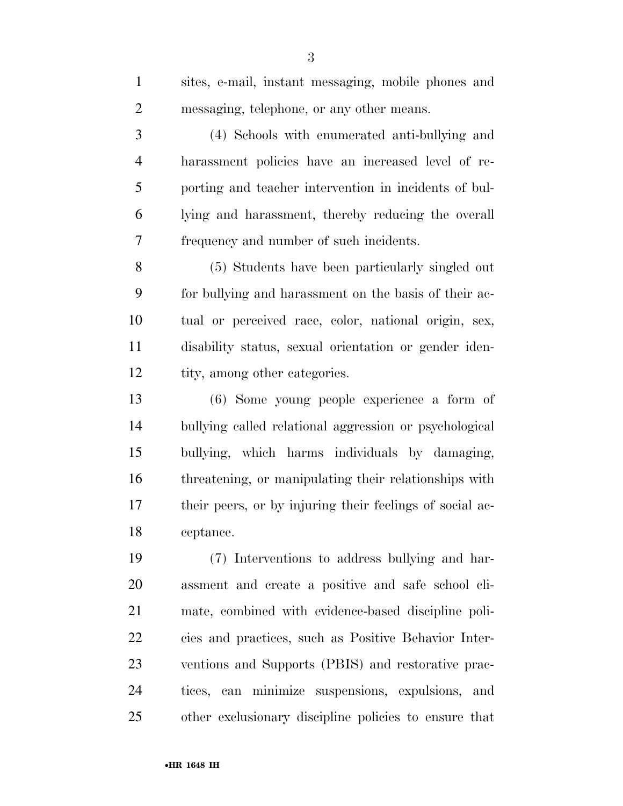| $\mathbf{1}$   | sites, e-mail, instant messaging, mobile phones and      |
|----------------|----------------------------------------------------------|
| $\overline{2}$ | messaging, telephone, or any other means.                |
| 3              | (4) Schools with enumerated anti-bullying and            |
| $\overline{4}$ | harassment policies have an increased level of re-       |
| 5              | porting and teacher intervention in incidents of bul-    |
| 6              | lying and harassment, thereby reducing the overall       |
| 7              | frequency and number of such incidents.                  |
| 8              | (5) Students have been particularly singled out          |
| 9              | for bullying and harassment on the basis of their ac-    |
| 10             | tual or perceived race, color, national origin, sex,     |
| 11             | disability status, sexual orientation or gender iden-    |
| 12             | tity, among other categories.                            |
| 13             | (6) Some young people experience a form of               |
| 14             | bullying called relational aggression or psychological   |
| 15             | bullying, which harms individuals by damaging,           |
| 16             | threatening, or manipulating their relationships with    |
| 17             | their peers, or by injuring their feelings of social ac- |
| 18             | ceptance.                                                |
| 19             | (7) Interventions to address bullying and har-           |
| 20             | assment and create a positive and safe school cli-       |
| 21             | mate, combined with evidence-based discipline poli-      |
| 22             | cies and practices, such as Positive Behavior Inter-     |
| 23             | ventions and Supports (PBIS) and restorative prac-       |
| 24             | tices, can minimize suspensions, expulsions, and         |
| 25             | other exclusionary discipline policies to ensure that    |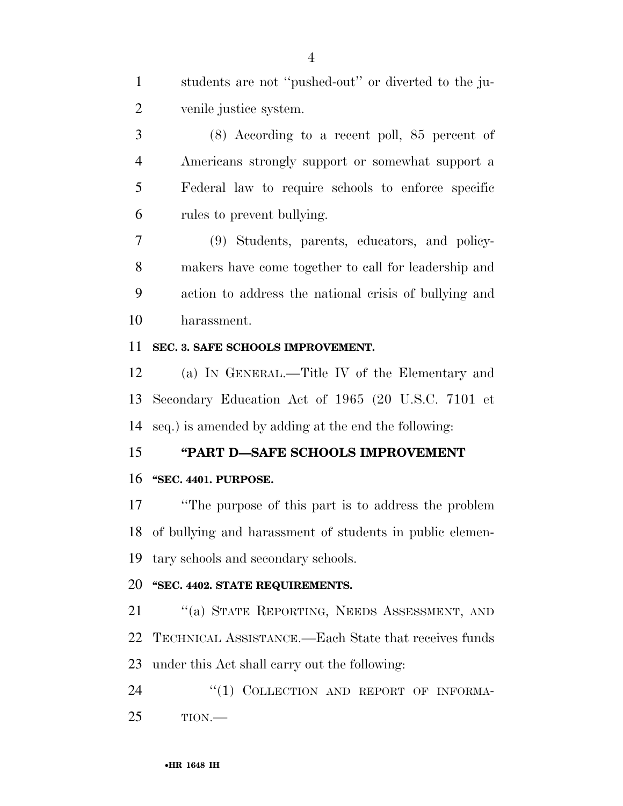students are not ''pushed-out'' or diverted to the ju-venile justice system.

 (8) According to a recent poll, 85 percent of Americans strongly support or somewhat support a Federal law to require schools to enforce specific rules to prevent bullying.

 (9) Students, parents, educators, and policy- makers have come together to call for leadership and action to address the national crisis of bullying and harassment.

#### **SEC. 3. SAFE SCHOOLS IMPROVEMENT.**

 (a) IN GENERAL.—Title IV of the Elementary and Secondary Education Act of 1965 (20 U.S.C. 7101 et seq.) is amended by adding at the end the following:

#### **''PART D—SAFE SCHOOLS IMPROVEMENT**

#### **''SEC. 4401. PURPOSE.**

 ''The purpose of this part is to address the problem of bullying and harassment of students in public elemen-tary schools and secondary schools.

## **''SEC. 4402. STATE REQUIREMENTS.**

 ''(a) STATE REPORTING, NEEDS ASSESSMENT, AND TECHNICAL ASSISTANCE.—Each State that receives funds under this Act shall carry out the following:

24 "(1) COLLECTION AND REPORT OF INFORMA-TION.—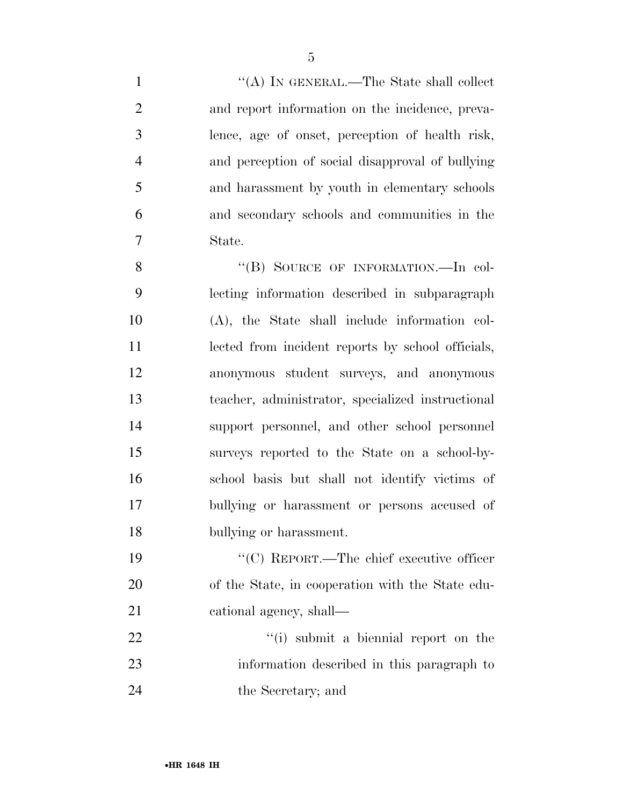1 ''(A) IN GENERAL.—The State shall collect and report information on the incidence, preva- lence, age of onset, perception of health risk, and perception of social disapproval of bullying and harassment by youth in elementary schools and secondary schools and communities in the State. 8 "(B) SOURCE OF INFORMATION.—In col- lecting information described in subparagraph (A), the State shall include information col- lected from incident reports by school officials, anonymous student surveys, and anonymous teacher, administrator, specialized instructional support personnel, and other school personnel surveys reported to the State on a school-by- school basis but shall not identify victims of bullying or harassment or persons accused of

 ''(C) REPORT.—The chief executive officer of the State, in cooperation with the State edu-cational agency, shall—

bullying or harassment.

22 ''(i) submit a biennial report on the information described in this paragraph to the Secretary; and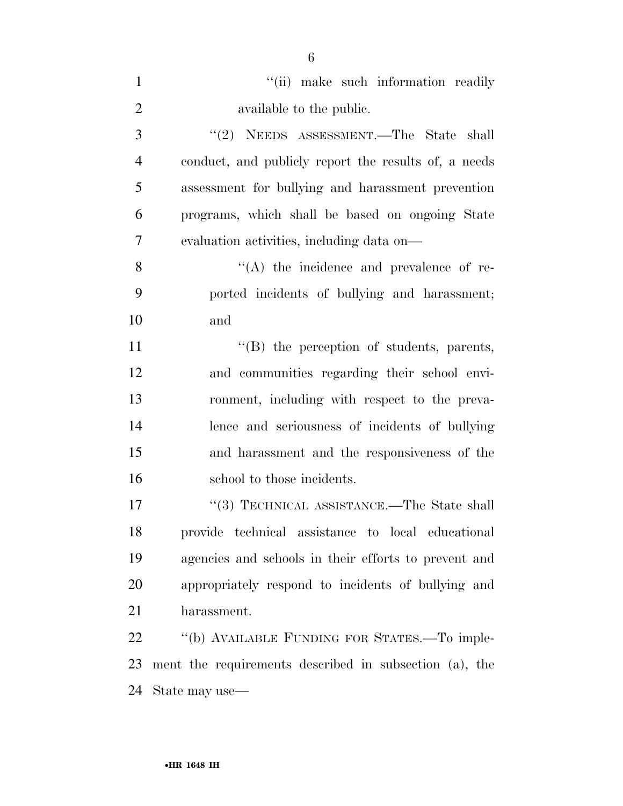| $\mathbf{1}$   | "(ii) make such information readily                    |
|----------------|--------------------------------------------------------|
| $\overline{2}$ | available to the public.                               |
| 3              | $"(2)$ NEEDS ASSESSMENT.—The State shall               |
| $\overline{4}$ | conduct, and publicly report the results of, a needs   |
| 5              | assessment for bullying and harassment prevention      |
| 6              | programs, which shall be based on ongoing State        |
| 7              | evaluation activities, including data on—              |
| 8              | $\lq\lq$ the incidence and prevalence of re-           |
| 9              | ported incidents of bullying and harassment;           |
| 10             | and                                                    |
| 11             | "(B) the perception of students, parents,              |
| 12             | and communities regarding their school envi-           |
| 13             | ronment, including with respect to the preva-          |
| 14             | lence and seriousness of incidents of bullying         |
| 15             | and harassment and the responsiveness of the           |
| 16             | school to those incidents.                             |
| 17             | "(3) TECHNICAL ASSISTANCE.—The State shall             |
| 18             | provide technical assistance to local educational      |
| 19             | agencies and schools in their efforts to prevent and   |
| 20             | appropriately respond to incidents of bullying and     |
| 21             | harassment.                                            |
| 22             | "(b) AVAILABLE FUNDING FOR STATES.—To imple-           |
| 23             | ment the requirements described in subsection (a), the |
| 24             | State may use—                                         |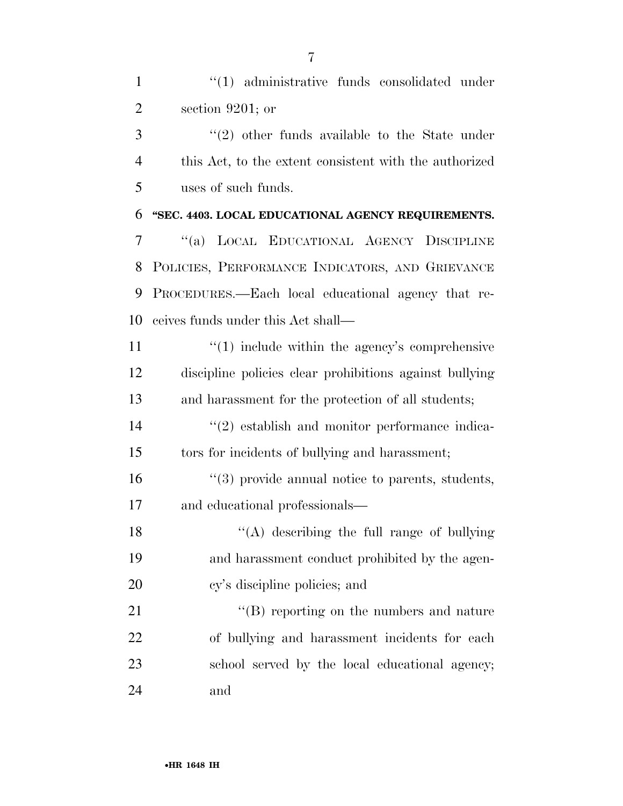1 ''(1) administrative funds consolidated under section 9201; or

3 "(2) other funds available to the State under this Act, to the extent consistent with the authorized uses of such funds.

 **''SEC. 4403. LOCAL EDUCATIONAL AGENCY REQUIREMENTS.**  ''(a) LOCAL EDUCATIONAL AGENCY DISCIPLINE POLICIES, PERFORMANCE INDICATORS, AND GRIEVANCE PROCEDURES.—Each local educational agency that re-ceives funds under this Act shall—

11  $\frac{1}{1}$  (1) include within the agency's comprehensive discipline policies clear prohibitions against bullying and harassment for the protection of all students;

14  $(2)$  establish and monitor performance indica-tors for incidents of bullying and harassment;

16  $\frac{16}{3}$  provide annual notice to parents, students, and educational professionals—

18  $\langle (A)$  describing the full range of bullying and harassment conduct prohibited by the agen-cy's discipline policies; and

21 ''(B) reporting on the numbers and nature of bullying and harassment incidents for each school served by the local educational agency; and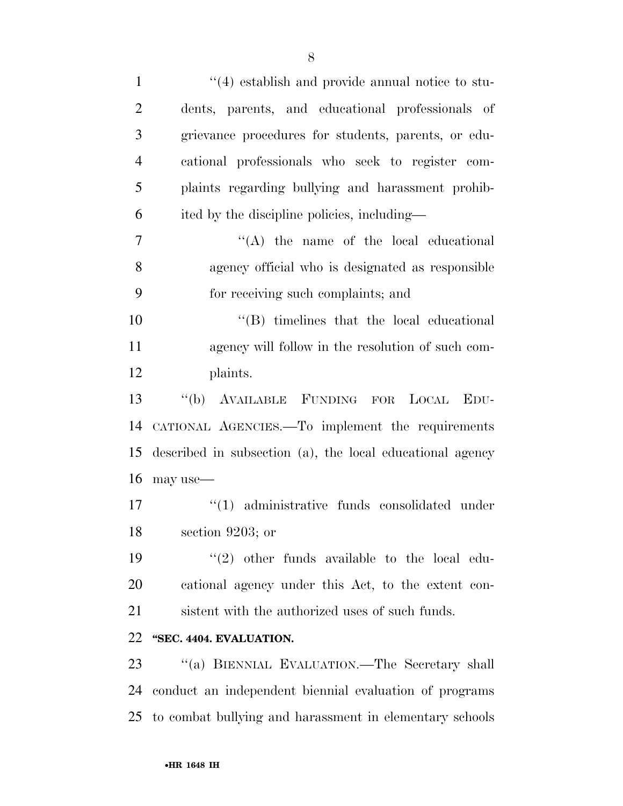| $\mathbf{1}$   | $\cdot$ (4) establish and provide annual notice to stu-   |
|----------------|-----------------------------------------------------------|
| $\overline{2}$ | dents, parents, and educational professionals of          |
| 3              | grievance procedures for students, parents, or edu-       |
| $\overline{4}$ | cational professionals who seek to register com-          |
| 5              | plaints regarding bullying and harassment prohib-         |
| 6              | ited by the discipline policies, including—               |
| 7              | $\lq\lq$ the name of the local educational                |
| 8              | agency official who is designated as responsible          |
| 9              | for receiving such complaints; and                        |
| 10             | $\lq\lq$ timelines that the local educational             |
| 11             | agency will follow in the resolution of such com-         |
| 12             | plaints.                                                  |
| 13             | "(b) AVAILABLE FUNDING FOR LOCAL EDU-                     |
| 14             | CATIONAL AGENCIES.—To implement the requirements          |
| 15             | described in subsection (a), the local educational agency |
| 16             | may use—                                                  |
| 17             | "(1) administrative funds consolidated under              |
| 18             | section 9203; or                                          |
| 19             | $\lq(2)$ other funds available to the local edu-          |
| 20             | cational agency under this Act, to the extent con-        |
| 21             | sistent with the authorized uses of such funds.           |
| 22             | "SEC. 4404. EVALUATION.                                   |
| 23             | "(a) BIENNIAL EVALUATION.—The Secretary shall             |
| 24             | conduct an independent biennial evaluation of programs    |
| 25             | to combat bullying and harassment in elementary schools   |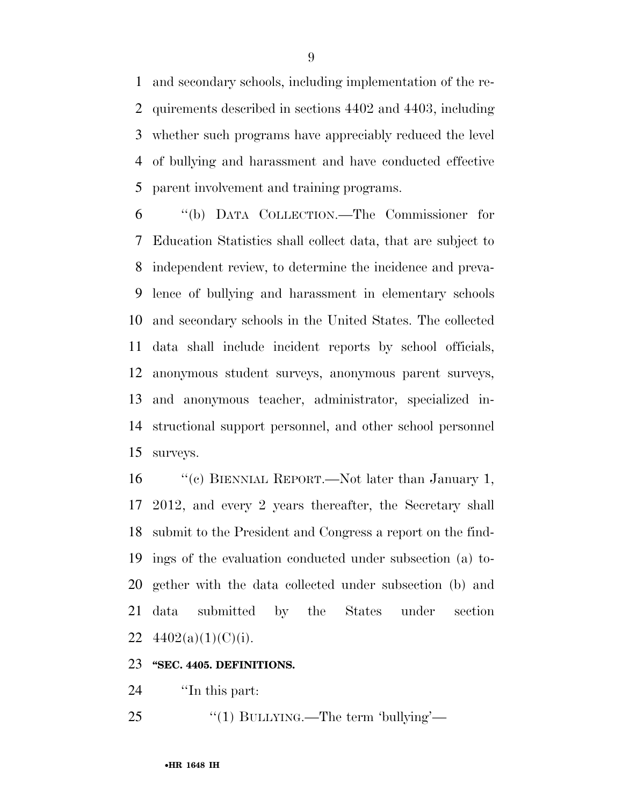and secondary schools, including implementation of the re- quirements described in sections 4402 and 4403, including whether such programs have appreciably reduced the level of bullying and harassment and have conducted effective parent involvement and training programs.

 ''(b) DATA COLLECTION.—The Commissioner for Education Statistics shall collect data, that are subject to independent review, to determine the incidence and preva- lence of bullying and harassment in elementary schools and secondary schools in the United States. The collected data shall include incident reports by school officials, anonymous student surveys, anonymous parent surveys, and anonymous teacher, administrator, specialized in- structional support personnel, and other school personnel surveys.

16 "(c) BIENNIAL REPORT.—Not later than January 1, 2012, and every 2 years thereafter, the Secretary shall submit to the President and Congress a report on the find- ings of the evaluation conducted under subsection (a) to- gether with the data collected under subsection (b) and data submitted by the States under section  $4402(a)(1)(C)(i)$ .

#### **''SEC. 4405. DEFINITIONS.**

24  $\qquad$  The this part:

25 "(1) BULLYING.—The term 'bullying'—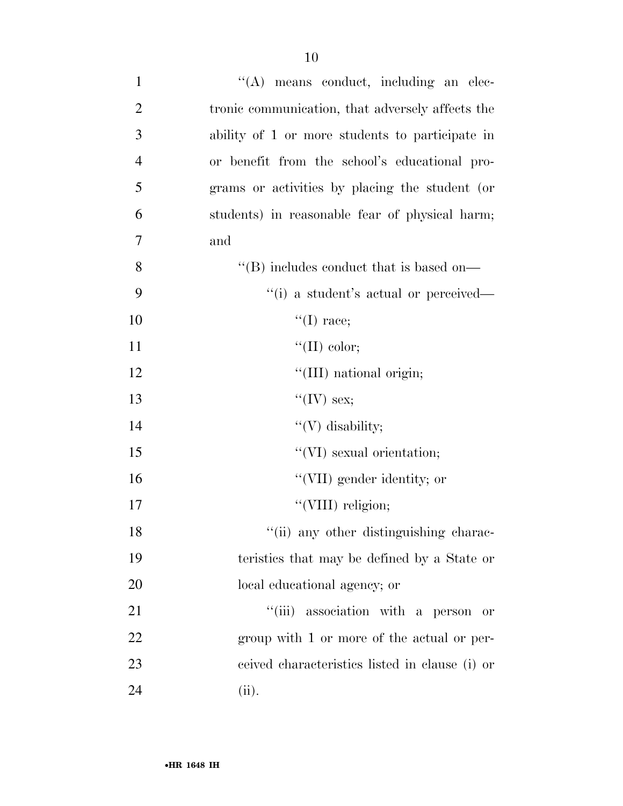| $\mathbf{1}$   | $\lq\lq$ means conduct, including an elec-       |
|----------------|--------------------------------------------------|
| $\overline{2}$ | tronic communication, that adversely affects the |
| 3              | ability of 1 or more students to participate in  |
| $\overline{4}$ | or benefit from the school's educational pro-    |
| 5              | grams or activities by placing the student (or   |
| 6              | students) in reasonable fear of physical harm;   |
| 7              | and                                              |
| 8              | "(B) includes conduct that is based on—          |
| 9              | "(i) a student's actual or perceived—            |
| 10             | $``(I)$ race;                                    |
| 11             | "(II) color;                                     |
| 12             | "(III) national origin;                          |
| 13             | "(IV) sex;                                       |
| 14             | " $(V)$ disability;                              |
| 15             | "(VI) sexual orientation;                        |
| 16             | "(VII) gender identity; or                       |
| 17             | "(VIII) religion;                                |
| 18             | "(ii) any other distinguishing charac-           |
| 19             | teristics that may be defined by a State or      |
| 20             | local educational agency; or                     |
| 21             | "(iii) association with a person<br>or           |
| 22             | group with 1 or more of the actual or per-       |
| 23             | ceived characteristics listed in clause (i) or   |
| 24             | (ii).                                            |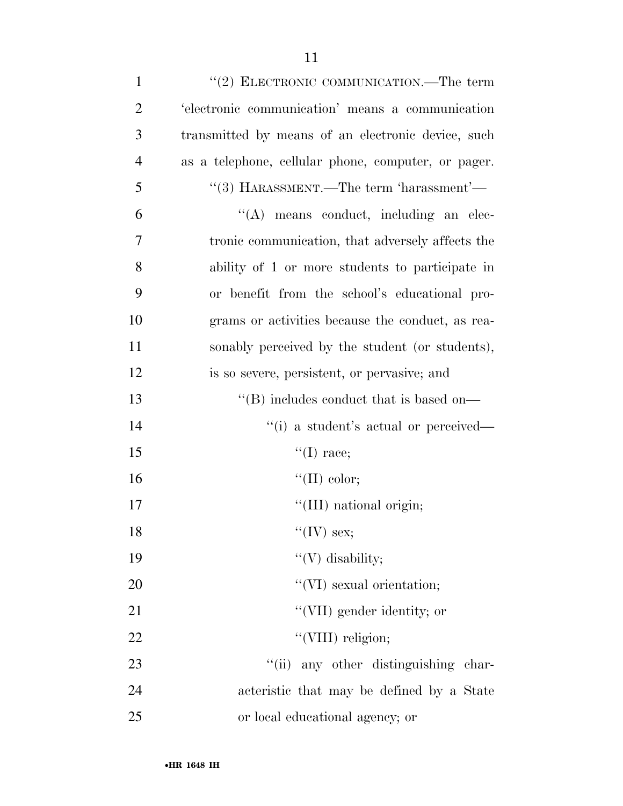| $\mathbf{1}$   | "(2) ELECTRONIC COMMUNICATION.—The term             |
|----------------|-----------------------------------------------------|
| $\overline{2}$ | 'electronic communication' means a communication    |
| 3              | transmitted by means of an electronic device, such  |
| $\overline{4}$ | as a telephone, cellular phone, computer, or pager. |
| 5              | $\lq(3)$ HARASSMENT.—The term 'harassment'—         |
| 6              | $\lq\lq$ means conduct, including an elec-          |
| 7              | tronic communication, that adversely affects the    |
| 8              | ability of 1 or more students to participate in     |
| 9              | or benefit from the school's educational pro-       |
| 10             | grams or activities because the conduct, as rea-    |
| 11             | sonably perceived by the student (or students),     |
| 12             | is so severe, persistent, or pervasive; and         |
| 13             | "(B) includes conduct that is based on—             |
| 14             | "(i) a student's actual or perceived—               |
| 15             | $\lq\lq$ (I) race;                                  |
| 16             | "(II) color;                                        |
| 17             | "(III) national origin;                             |
| 18             | "(IV) sex;                                          |
| 19             | "(V) disability;                                    |
| 20             | $\lq\lq$ (VI) sexual orientation;                   |
| 21             | "(VII) gender identity; or                          |
| 22             | "(VIII) religion;                                   |
| 23             | "(ii) any other distinguishing char-                |
| 24             | acteristic that may be defined by a State           |
| 25             | or local educational agency; or                     |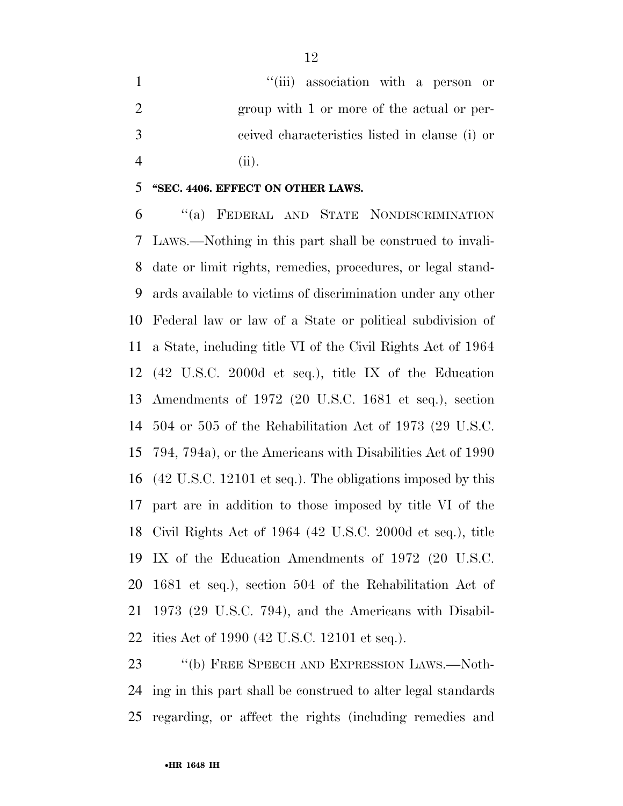1 ''(iii) association with a person or 2 group with 1 or more of the actual or per- ceived characteristics listed in clause (i) or (ii).

#### **''SEC. 4406. EFFECT ON OTHER LAWS.**

 ''(a) FEDERAL AND STATE NONDISCRIMINATION LAWS.—Nothing in this part shall be construed to invali- date or limit rights, remedies, procedures, or legal stand- ards available to victims of discrimination under any other Federal law or law of a State or political subdivision of a State, including title VI of the Civil Rights Act of 1964 (42 U.S.C. 2000d et seq.), title IX of the Education Amendments of 1972 (20 U.S.C. 1681 et seq.), section 504 or 505 of the Rehabilitation Act of 1973 (29 U.S.C. 794, 794a), or the Americans with Disabilities Act of 1990 (42 U.S.C. 12101 et seq.). The obligations imposed by this part are in addition to those imposed by title VI of the Civil Rights Act of 1964 (42 U.S.C. 2000d et seq.), title IX of the Education Amendments of 1972 (20 U.S.C. 1681 et seq.), section 504 of the Rehabilitation Act of 1973 (29 U.S.C. 794), and the Americans with Disabil-ities Act of 1990 (42 U.S.C. 12101 et seq.).

23 "(b) FREE SPEECH AND EXPRESSION LAWS.—Noth- ing in this part shall be construed to alter legal standards regarding, or affect the rights (including remedies and